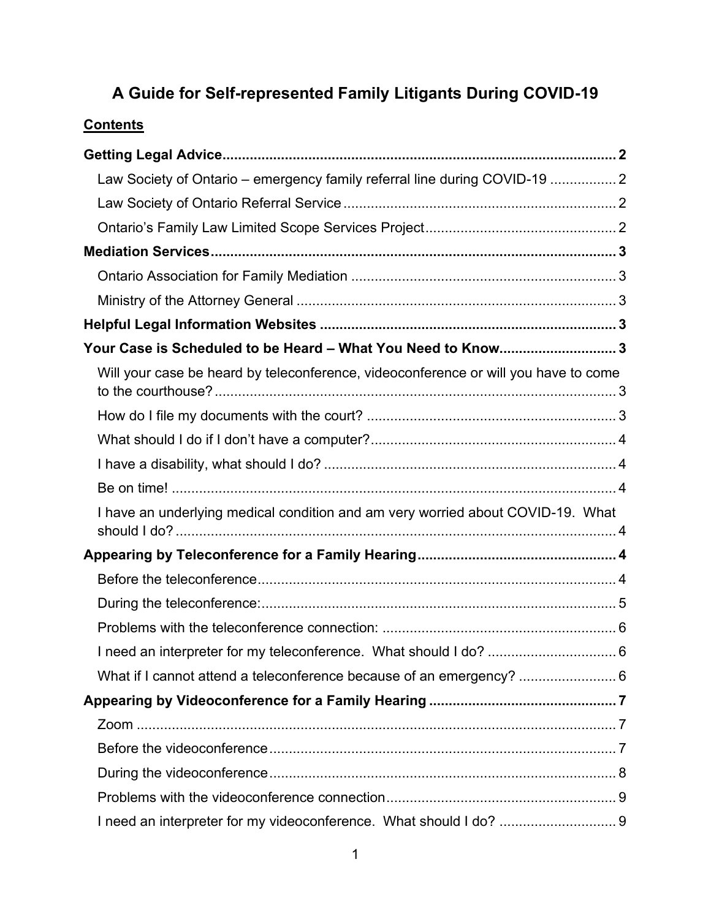# **A Guide for Self-represented Family Litigants During COVID-19**

# **Contents**

| Law Society of Ontario - emergency family referral line during COVID-19  2          |  |
|-------------------------------------------------------------------------------------|--|
|                                                                                     |  |
|                                                                                     |  |
|                                                                                     |  |
|                                                                                     |  |
|                                                                                     |  |
|                                                                                     |  |
| Your Case is Scheduled to be Heard - What You Need to Know3                         |  |
| Will your case be heard by teleconference, videoconference or will you have to come |  |
|                                                                                     |  |
|                                                                                     |  |
|                                                                                     |  |
|                                                                                     |  |
| I have an underlying medical condition and am very worried about COVID-19. What     |  |
|                                                                                     |  |
|                                                                                     |  |
|                                                                                     |  |
|                                                                                     |  |
|                                                                                     |  |
|                                                                                     |  |
|                                                                                     |  |
|                                                                                     |  |
|                                                                                     |  |
|                                                                                     |  |
|                                                                                     |  |
|                                                                                     |  |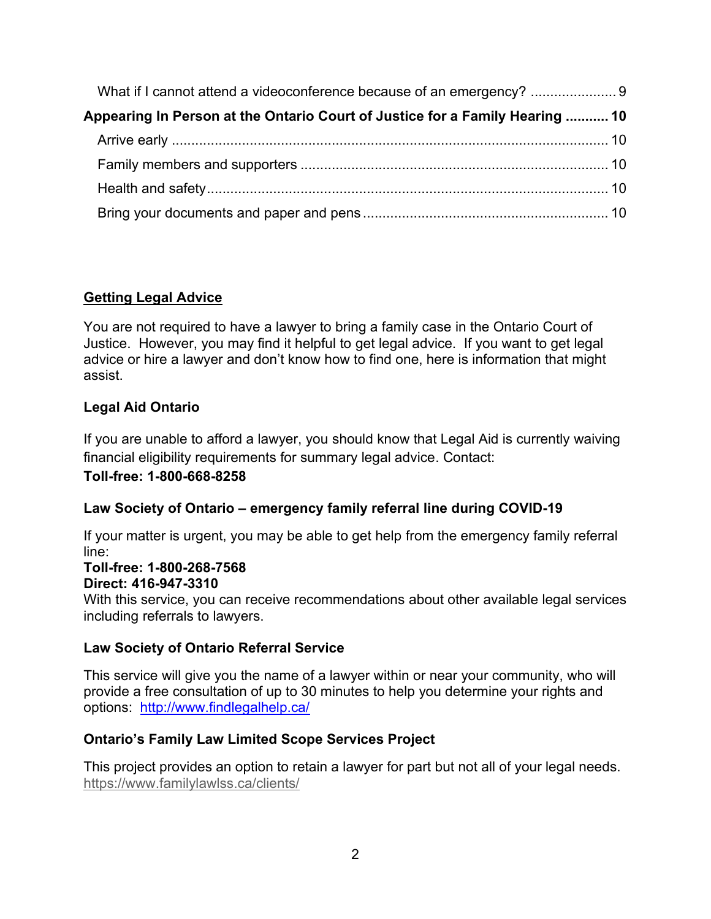| Appearing In Person at the Ontario Court of Justice for a Family Hearing  10 |  |
|------------------------------------------------------------------------------|--|
|                                                                              |  |
|                                                                              |  |
|                                                                              |  |
|                                                                              |  |

# <span id="page-1-0"></span>**Getting Legal Advice**

You are not required to have a lawyer to bring a family case in the Ontario Court of Justice. However, you may find it helpful to get legal advice. If you want to get legal advice or hire a lawyer and don't know how to find one, here is information that might assist.

# **Legal Aid Ontario**

If you are unable to afford a lawyer, you should know that Legal Aid is currently waiving financial eligibility requirements for summary legal advice. Contact:

### **Toll-free: 1-800-668-8258**

### <span id="page-1-1"></span>**Law Society of Ontario – emergency family referral line during COVID-19**

If your matter is urgent, you may be able to get help from the emergency family referral line:

#### **Toll-free: 1-800-268-7568 Direct: 416-947-3310**

With this service, you can receive recommendations about other available legal services including referrals to lawyers.

### <span id="page-1-2"></span>**Law Society of Ontario Referral Service**

This service will give you the name of a lawyer within or near your community, who will provide a free consultation of up to 30 minutes to help you determine your rights and options: <http://www.findlegalhelp.ca/>

### <span id="page-1-3"></span>**Ontario's Family Law Limited Scope Services Project**

This project provides an option to retain a lawyer for part but not all of your legal needs. <https://www.familylawlss.ca/clients/>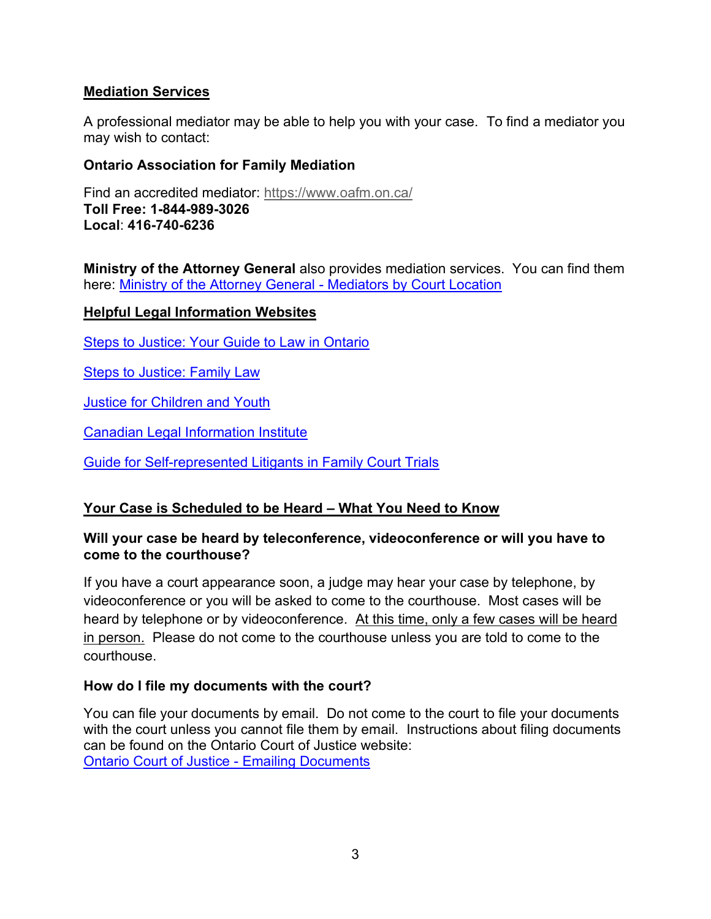# <span id="page-2-0"></span>**Mediation Services**

A professional mediator may be able to help you with your case. To find a mediator you may wish to contact:

# <span id="page-2-1"></span>**Ontario Association for Family Mediation**

Find an accredited mediator: <https://www.oafm.on.ca/> **Toll Free: 1-844-989-3026 Local**: **416-740-6236**

<span id="page-2-2"></span>**Ministry of the Attorney General** also provides mediation services. You can find them here: [Ministry of the Attorney General -](https://www.attorneygeneral.jus.gov.on.ca/english/family/service_provider_by_family_court_location.php) Mediators by Court Location

### <span id="page-2-3"></span>**Helpful Legal Information Websites**

[Steps to Justice: Your Guide to Law in Ontario](https://stepstojustice.ca/)

[Steps to Justice: Family Law](https://stepstojustice.ca/covid-19/covid%E2%80%9119-family-law)

[Justice for Children and Youth](https://jfcy.org/en/you-have-rights/)

[Canadian Legal Information Institute](https://www.canlii.org/en/)

[Guide for Self-represented Litigants in Family Court Trials](https://www.ontariocourts.ca/ocj/self-represented-parties/guide-for-self-represented-litigants-in-family-court-trials/guide/)

# <span id="page-2-4"></span>**Your Case is Scheduled to be Heard – What You Need to Know**

### <span id="page-2-5"></span>**Will your case be heard by teleconference, videoconference or will you have to come to the courthouse?**

If you have a court appearance soon, a judge may hear your case by telephone, by videoconference or you will be asked to come to the courthouse. Most cases will be heard by telephone or by videoconference. At this time, only a few cases will be heard in person. Please do not come to the courthouse unless you are told to come to the courthouse.

### <span id="page-2-6"></span>**How do I file my documents with the court?**

You can file your documents by email. Do not come to the court to file your documents with the court unless you cannot file them by email. Instructions about filing documents can be found on the Ontario Court of Justice website: [Ontario Court of Justice -](https://www.ontariocourts.ca/ocj/covid-19/emailing-urgent-documents/) Emailing Documents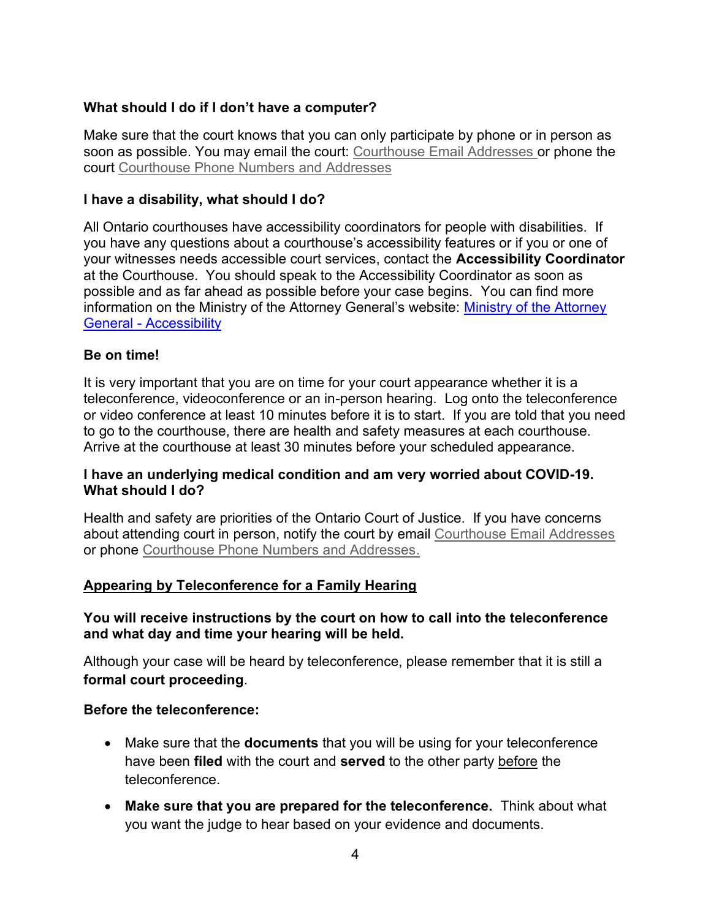# <span id="page-3-0"></span>**What should I do if I don't have a computer?**

Make sure that the court knows that you can only participate by phone or in person as soon as possible. You may email the court: [Courthouse Email Addresses](https://www.ontariocourts.ca/ocj/covid-19/courthouse-email-addresses/) or phone the court [Courthouse Phone Numbers and Addresses](https://www.attorneygeneral.jus.gov.on.ca/english/courts/Court_Addresses/)

#### <span id="page-3-1"></span>**I have a disability, what should I do?**

All Ontario courthouses have accessibility coordinators for people with disabilities. If you have any questions about a courthouse's accessibility features or if you or one of your witnesses needs accessible court services, contact the **Accessibility Coordinator** at the Courthouse. You should speak to the Accessibility Coordinator as soon as possible and as far ahead as possible before your case begins. You can find more information on the Ministry of the Attorney General's website: Ministry [of the Attorney](https://www.attorneygeneral.jus.gov.on.ca/english/about/commitment_to_accessibility.php)  General - [Accessibility](https://www.attorneygeneral.jus.gov.on.ca/english/about/commitment_to_accessibility.php)

#### <span id="page-3-2"></span>**Be on time!**

It is very important that you are on time for your court appearance whether it is a teleconference, videoconference or an in-person hearing. Log onto the teleconference or video conference at least 10 minutes before it is to start. If you are told that you need to go to the courthouse, there are health and safety measures at each courthouse. Arrive at the courthouse at least 30 minutes before your scheduled appearance.

#### <span id="page-3-3"></span>**I have an underlying medical condition and am very worried about COVID-19. What should I do?**

Health and safety are priorities of the Ontario Court of Justice. If you have concerns about attending court in person, notify the court by email [Courthouse Email Addresses](https://www.ontariocourts.ca/ocj/covid-19/courthouse-email-addresses/) or phone [Courthouse Phone Numbers and Addresses.](https://www.attorneygeneral.jus.gov.on.ca/english/courts/Court_Addresses/)

### <span id="page-3-4"></span>**Appearing by Teleconference for a Family Hearing**

### **You will receive instructions by the court on how to call into the teleconference and what day and time your hearing will be held.**

Although your case will be heard by teleconference, please remember that it is still a **formal court proceeding**.

#### <span id="page-3-5"></span>**Before the teleconference:**

- Make sure that the **documents** that you will be using for your teleconference have been **filed** with the court and **served** to the other party before the teleconference.
- **Make sure that you are prepared for the teleconference.** Think about what you want the judge to hear based on your evidence and documents.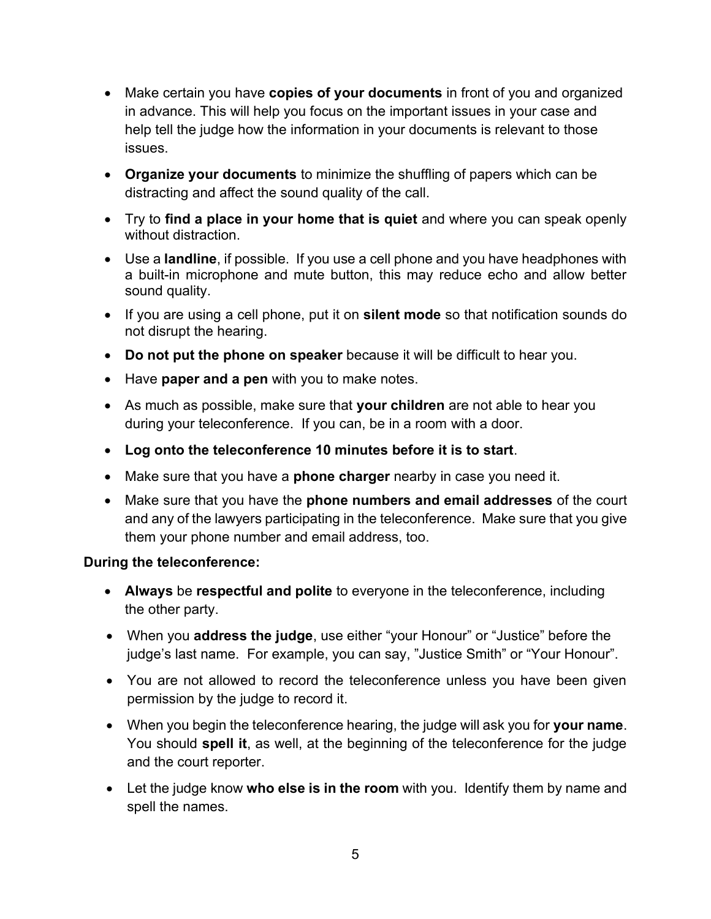- Make certain you have **copies of your documents** in front of you and organized in advance. This will help you focus on the important issues in your case and help tell the judge how the information in your documents is relevant to those issues.
- **Organize your documents** to minimize the shuffling of papers which can be distracting and affect the sound quality of the call.
- Try to **find a place in your home that is quiet** and where you can speak openly without distraction.
- Use a **landline**, if possible. If you use a cell phone and you have headphones with a built-in microphone and mute button, this may reduce echo and allow better sound quality.
- If you are using a cell phone, put it on **silent mode** so that notification sounds do not disrupt the hearing.
- **Do not put the phone on speaker** because it will be difficult to hear you.
- Have **paper and a pen** with you to make notes.
- As much as possible, make sure that **your children** are not able to hear you during your teleconference. If you can, be in a room with a door.
- **Log onto the teleconference 10 minutes before it is to start**.
- Make sure that you have a **phone charger** nearby in case you need it.
- Make sure that you have the **phone numbers and email addresses** of the court and any of the lawyers participating in the teleconference. Make sure that you give them your phone number and email address, too.

# <span id="page-4-0"></span>**During the teleconference:**

- **Always** be **respectful and polite** to everyone in the teleconference, including the other party.
- When you **address the judge**, use either "your Honour" or "Justice" before the judge's last name. For example, you can say, "Justice Smith" or "Your Honour".
- You are not allowed to record the teleconference unless you have been given permission by the judge to record it.
- When you begin the teleconference hearing, the judge will ask you for **your name**. You should **spell it**, as well, at the beginning of the teleconference for the judge and the court reporter.
- Let the judge know **who else is in the room** with you. Identify them by name and spell the names.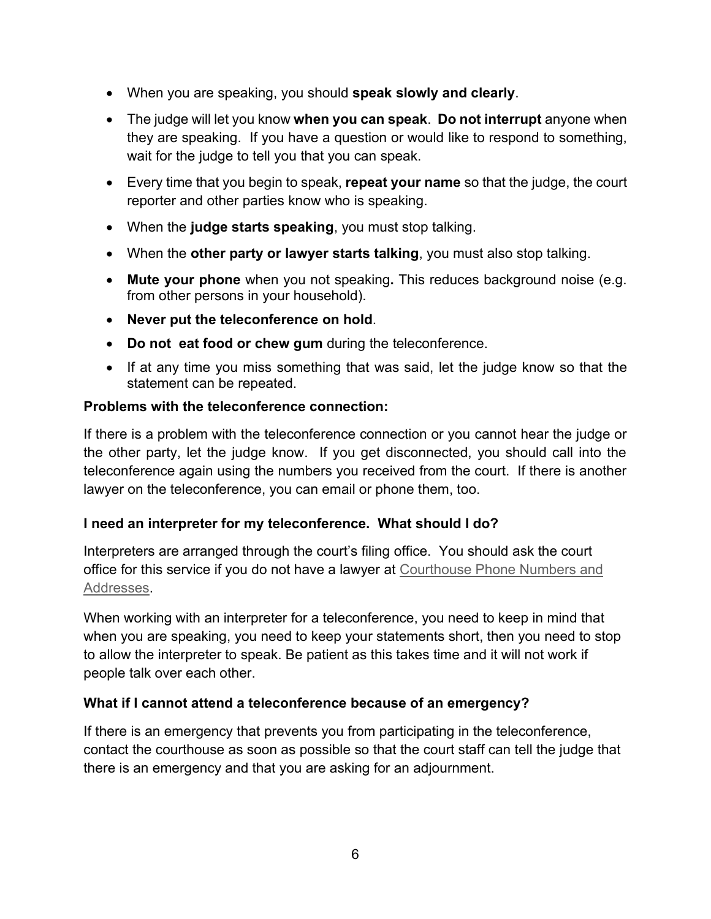- When you are speaking, you should **speak slowly and clearly**.
- The judge will let you know **when you can speak**. **Do not interrupt** anyone when they are speaking. If you have a question or would like to respond to something, wait for the judge to tell you that you can speak.
- Every time that you begin to speak, **repeat your name** so that the judge, the court reporter and other parties know who is speaking.
- When the **judge starts speaking**, you must stop talking.
- When the **other party or lawyer starts talking**, you must also stop talking.
- **Mute your phone** when you not speaking**.** This reduces background noise (e.g. from other persons in your household).
- **Never put the teleconference on hold**.
- **Do not eat food or chew gum** during the teleconference.
- If at any time you miss something that was said, let the judge know so that the statement can be repeated.

# <span id="page-5-0"></span>**Problems with the teleconference connection:**

If there is a problem with the teleconference connection or you cannot hear the judge or the other party, let the judge know. If you get disconnected, you should call into the teleconference again using the numbers you received from the court. If there is another lawyer on the teleconference, you can email or phone them, too.

# <span id="page-5-1"></span>**I need an interpreter for my teleconference. What should I do?**

Interpreters are arranged through the court's filing office. You should ask the court office for this service if you do not have a lawyer at [Courthouse Phone Numbers and](https://www.attorneygeneral.jus.gov.on.ca/english/courts/Court_Addresses/)  [Addresses.](https://www.attorneygeneral.jus.gov.on.ca/english/courts/Court_Addresses/)

When working with an interpreter for a teleconference, you need to keep in mind that when you are speaking, you need to keep your statements short, then you need to stop to allow the interpreter to speak. Be patient as this takes time and it will not work if people talk over each other.

# <span id="page-5-2"></span>**What if I cannot attend a teleconference because of an emergency?**

If there is an emergency that prevents you from participating in the teleconference, contact the courthouse as soon as possible so that the court staff can tell the judge that there is an emergency and that you are asking for an adjournment.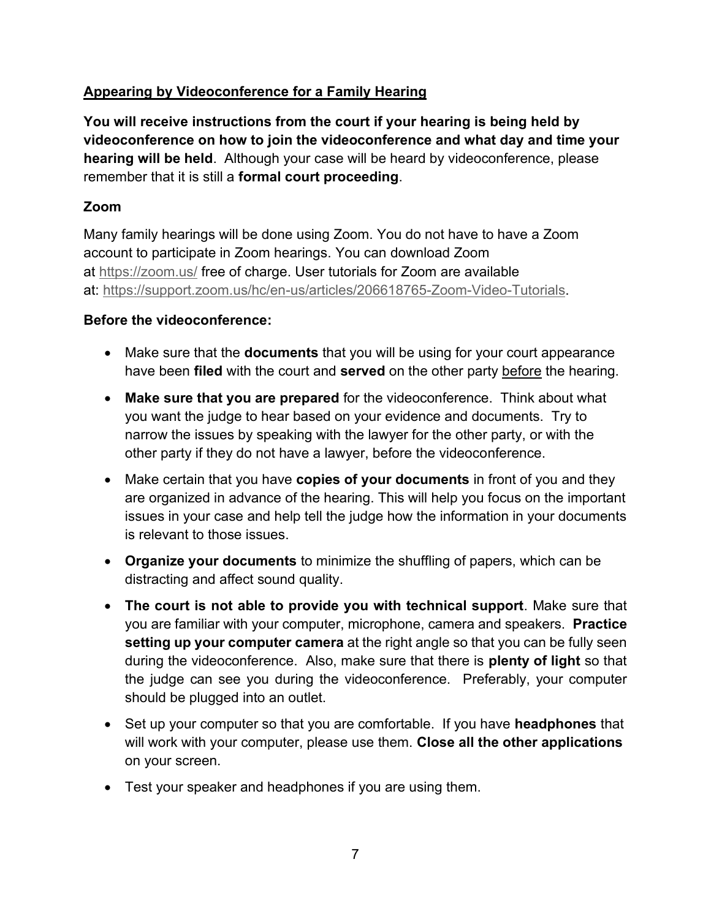# <span id="page-6-0"></span>**Appearing by Videoconference for a Family Hearing**

**You will receive instructions from the court if your hearing is being held by videoconference on how to join the videoconference and what day and time your hearing will be held**. Although your case will be heard by videoconference, please remember that it is still a **formal court proceeding**.

# <span id="page-6-1"></span>**Zoom**

Many family hearings will be done using Zoom. You do not have to have a Zoom account to participate in Zoom hearings. You can download Zoom at <https://zoom.us/> free of charge. User tutorials for Zoom are available at: [https://support.zoom.us/hc/en-us/articles/206618765-Zoom-Video-Tutorials.](https://support.zoom.us/hc/en-us/articles/206618765-Zoom-Video-Tutorials)

# <span id="page-6-2"></span>**Before the videoconference:**

- Make sure that the **documents** that you will be using for your court appearance have been **filed** with the court and **served** on the other party before the hearing.
- **Make sure that you are prepared** for the videoconference. Think about what you want the judge to hear based on your evidence and documents. Try to narrow the issues by speaking with the lawyer for the other party, or with the other party if they do not have a lawyer, before the videoconference.
- Make certain that you have **copies of your documents** in front of you and they are organized in advance of the hearing. This will help you focus on the important issues in your case and help tell the judge how the information in your documents is relevant to those issues.
- **Organize your documents** to minimize the shuffling of papers, which can be distracting and affect sound quality.
- **The court is not able to provide you with technical support**. Make sure that you are familiar with your computer, microphone, camera and speakers. **Practice setting up your computer camera** at the right angle so that you can be fully seen during the videoconference. Also, make sure that there is **plenty of light** so that the judge can see you during the videoconference. Preferably, your computer should be plugged into an outlet.
- Set up your computer so that you are comfortable. If you have **headphones** that will work with your computer, please use them. **Close all the other applications** on your screen.
- Test your speaker and headphones if you are using them.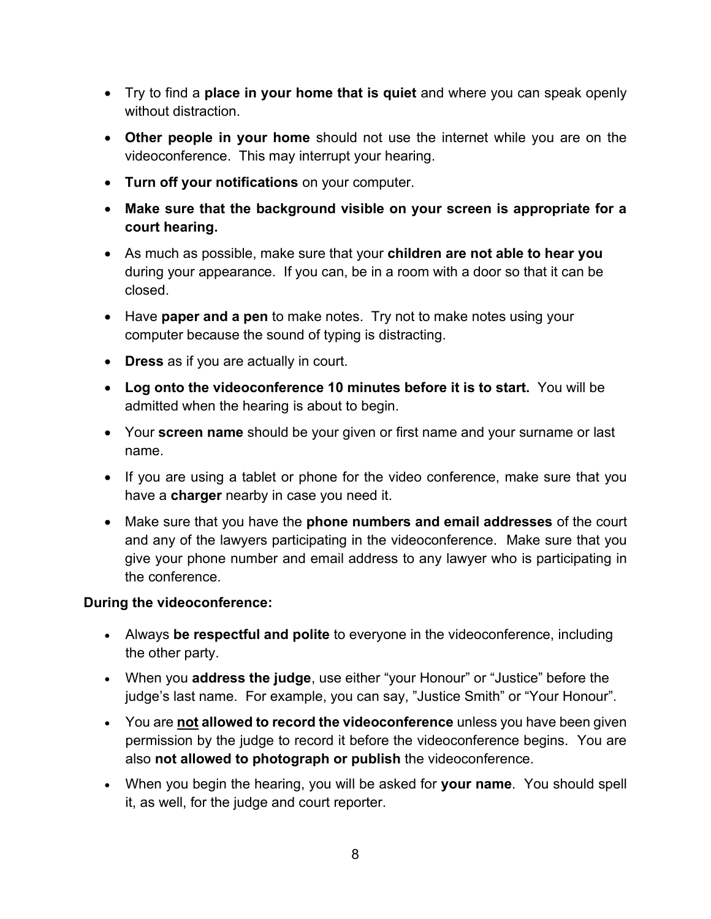- Try to find a **place in your home that is quiet** and where you can speak openly without distraction.
- **Other people in your home** should not use the internet while you are on the videoconference. This may interrupt your hearing.
- **Turn off your notifications** on your computer.
- **Make sure that the background visible on your screen is appropriate for a court hearing.**
- As much as possible, make sure that your **children are not able to hear you** during your appearance. If you can, be in a room with a door so that it can be closed.
- Have **paper and a pen** to make notes. Try not to make notes using your computer because the sound of typing is distracting.
- **Dress** as if you are actually in court.
- **Log onto the videoconference 10 minutes before it is to start.** You will be admitted when the hearing is about to begin.
- Your **screen name** should be your given or first name and your surname or last name.
- If you are using a tablet or phone for the video conference, make sure that you have a **charger** nearby in case you need it.
- Make sure that you have the **phone numbers and email addresses** of the court and any of the lawyers participating in the videoconference. Make sure that you give your phone number and email address to any lawyer who is participating in the conference.

# <span id="page-7-0"></span>**During the videoconference:**

- Always **be respectful and polite** to everyone in the videoconference, including the other party.
- When you **address the judge**, use either "your Honour" or "Justice" before the judge's last name. For example, you can say, "Justice Smith" or "Your Honour".
- You are **not allowed to record the videoconference** unless you have been given permission by the judge to record it before the videoconference begins. You are also **not allowed to photograph or publish** the videoconference.
- When you begin the hearing, you will be asked for **your name**. You should spell it, as well, for the judge and court reporter.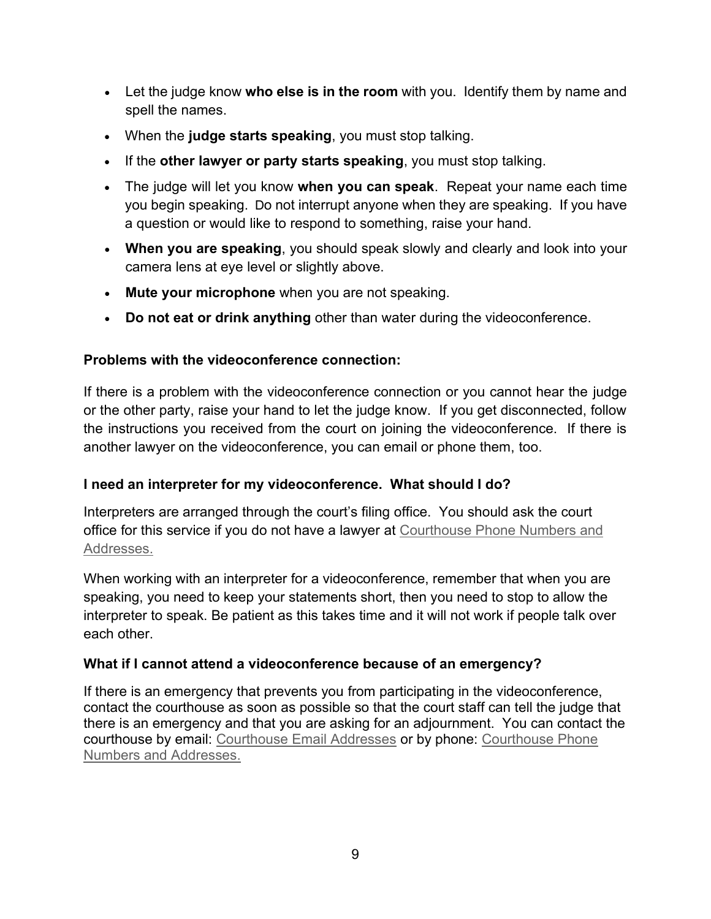- Let the judge know **who else is in the room** with you. Identify them by name and spell the names.
- When the **judge starts speaking**, you must stop talking.
- If the **other lawyer or party starts speaking**, you must stop talking.
- The judge will let you know **when you can speak**. Repeat your name each time you begin speaking. Do not interrupt anyone when they are speaking. If you have a question or would like to respond to something, raise your hand.
- **When you are speaking**, you should speak slowly and clearly and look into your camera lens at eye level or slightly above.
- **Mute your microphone** when you are not speaking.
- **Do not eat or drink anything** other than water during the videoconference.

# <span id="page-8-0"></span>**Problems with the videoconference connection:**

If there is a problem with the videoconference connection or you cannot hear the judge or the other party, raise your hand to let the judge know. If you get disconnected, follow the instructions you received from the court on joining the videoconference. If there is another lawyer on the videoconference, you can email or phone them, too.

# <span id="page-8-1"></span>**I need an interpreter for my videoconference. What should I do?**

Interpreters are arranged through the court's filing office. You should ask the court office for this service if you do not have a lawyer at [Courthouse Phone Numbers and](https://www.attorneygeneral.jus.gov.on.ca/english/courts/Court_Addresses/)  [Addresses.](https://www.attorneygeneral.jus.gov.on.ca/english/courts/Court_Addresses/)

When working with an interpreter for a videoconference, remember that when you are speaking, you need to keep your statements short, then you need to stop to allow the interpreter to speak. Be patient as this takes time and it will not work if people talk over each other.

# <span id="page-8-2"></span>**What if I cannot attend a videoconference because of an emergency?**

If there is an emergency that prevents you from participating in the videoconference, contact the courthouse as soon as possible so that the court staff can tell the judge that there is an emergency and that you are asking for an adjournment. You can contact the courthouse by email: [Courthouse Email Addresses](https://www.ontariocourts.ca/ocj/covid-19/courthouse-email-addresses/) or by phone: [Courthouse Phone](https://www.attorneygeneral.jus.gov.on.ca/english/courts/Court_Addresses/)  [Numbers and Addresses.](https://www.attorneygeneral.jus.gov.on.ca/english/courts/Court_Addresses/)